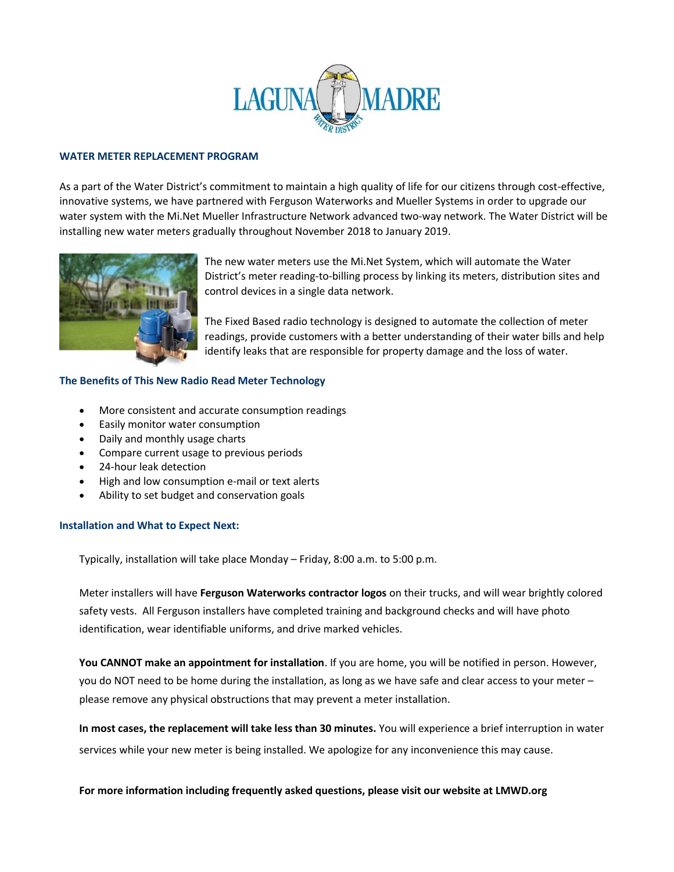

### **WATER METER REPLACEMENT PROGRAM**

As a part of the Water District's commitment to maintain a high quality of life for our citizens through cost-effective, innovative systems, we have partnered with Ferguson Waterworks and Mueller Systems in order to upgrade our water system with the Mi.Net Mueller Infrastructure Network advanced two-way network. The Water District will be installing new water meters gradually throughout November 2018 to January 2019.



The new water meters use the Mi.Net System, which will automate the Water District's meter reading-to-billing process by linking its meters, distribution sites and control devices in a single data network.

The Fixed Based radio technology is designed to automate the collection of meter readings, provide customers with a better understanding of their water bills and help identify leaks that are responsible for property damage and the loss of water.

# **The Benefits of This New Radio Read Meter Technology**

- More consistent and accurate consumption readings
- Easily monitor water consumption
- Daily and monthly usage charts
- Compare current usage to previous periods
- 24-hour leak detection
- High and low consumption e-mail or text alerts
- Ability to set budget and conservation goals

## **Installation and What to Expect Next:**

Typically, installation will take place Monday – Friday, 8:00 a.m. to 5:00 p.m.

Meter installers will have **Ferguson Waterworks contractor logos** on their trucks, and will wear brightly colored safety vests. All Ferguson installers have completed training and background checks and will have photo identification, wear identifiable uniforms, and drive marked vehicles.

**You CANNOT make an appointment for installation**. If you are home, you will be notified in person. However, you do NOT need to be home during the installation, as long as we have safe and clear access to your meter – please remove any physical obstructions that may prevent a meter installation.

**In most cases, the replacement will take less than 30 minutes.** You will experience a brief interruption in water services while your new meter is being installed. We apologize for any inconvenience this may cause.

## **For more information including frequently asked questions, please visit our website at LMWD.org**